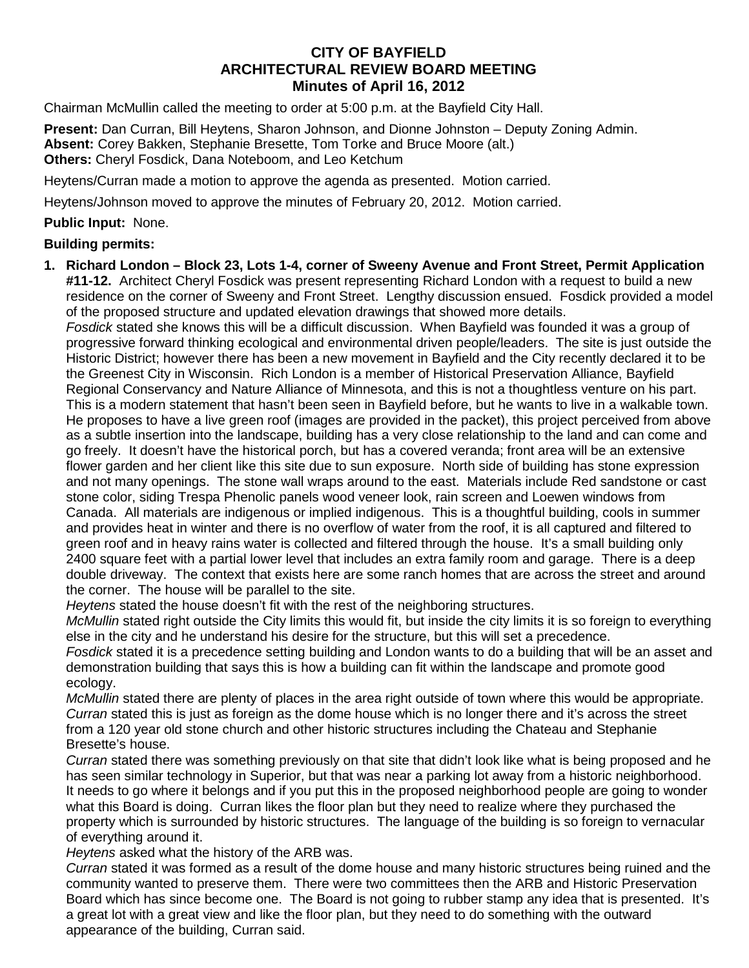## **CITY OF BAYFIELD ARCHITECTURAL REVIEW BOARD MEETING Minutes of April 16, 2012**

Chairman McMullin called the meeting to order at 5:00 p.m. at the Bayfield City Hall.

**Present:** Dan Curran, Bill Heytens, Sharon Johnson, and Dionne Johnston – Deputy Zoning Admin. **Absent:** Corey Bakken, Stephanie Bresette, Tom Torke and Bruce Moore (alt.) **Others:** Cheryl Fosdick, Dana Noteboom, and Leo Ketchum

Heytens/Curran made a motion to approve the agenda as presented. Motion carried.

Heytens/Johnson moved to approve the minutes of February 20, 2012.Motion carried.

## **Public Input:** None.

## **Building permits:**

**1. Richard London – Block 23, Lots 1-4, corner of Sweeny Avenue and Front Street, Permit Application #11-12.** Architect Cheryl Fosdick was present representing Richard London with a request to build a new residence on the corner of Sweeny and Front Street. Lengthy discussion ensued. Fosdick provided a model of the proposed structure and updated elevation drawings that showed more details.

*Fosdick* stated she knows this will be a difficult discussion. When Bayfield was founded it was a group of progressive forward thinking ecological and environmental driven people/leaders. The site is just outside the Historic District; however there has been a new movement in Bayfield and the City recently declared it to be the Greenest City in Wisconsin. Rich London is a member of Historical Preservation Alliance, Bayfield Regional Conservancy and Nature Alliance of Minnesota, and this is not a thoughtless venture on his part. This is a modern statement that hasn't been seen in Bayfield before, but he wants to live in a walkable town. He proposes to have a live green roof (images are provided in the packet), this project perceived from above as a subtle insertion into the landscape, building has a very close relationship to the land and can come and go freely. It doesn't have the historical porch, but has a covered veranda; front area will be an extensive flower garden and her client like this site due to sun exposure. North side of building has stone expression and not many openings. The stone wall wraps around to the east. Materials include Red sandstone or cast stone color, siding Trespa Phenolic panels wood veneer look, rain screen and Loewen windows from Canada. All materials are indigenous or implied indigenous. This is a thoughtful building, cools in summer and provides heat in winter and there is no overflow of water from the roof, it is all captured and filtered to green roof and in heavy rains water is collected and filtered through the house. It's a small building only 2400 square feet with a partial lower level that includes an extra family room and garage. There is a deep double driveway. The context that exists here are some ranch homes that are across the street and around the corner. The house will be parallel to the site.

*Heytens* stated the house doesn't fit with the rest of the neighboring structures.

*McMullin* stated right outside the City limits this would fit, but inside the city limits it is so foreign to everything else in the city and he understand his desire for the structure, but this will set a precedence.

*Fosdick* stated it is a precedence setting building and London wants to do a building that will be an asset and demonstration building that says this is how a building can fit within the landscape and promote good ecology.

*McMullin* stated there are plenty of places in the area right outside of town where this would be appropriate. *Curran* stated this is just as foreign as the dome house which is no longer there and it's across the street from a 120 year old stone church and other historic structures including the Chateau and Stephanie Bresette's house.

*Curran* stated there was something previously on that site that didn't look like what is being proposed and he has seen similar technology in Superior, but that was near a parking lot away from a historic neighborhood. It needs to go where it belongs and if you put this in the proposed neighborhood people are going to wonder what this Board is doing. Curran likes the floor plan but they need to realize where they purchased the property which is surrounded by historic structures. The language of the building is so foreign to vernacular of everything around it.

*Heytens* asked what the history of the ARB was.

*Curran* stated it was formed as a result of the dome house and many historic structures being ruined and the community wanted to preserve them. There were two committees then the ARB and Historic Preservation Board which has since become one. The Board is not going to rubber stamp any idea that is presented. It's a great lot with a great view and like the floor plan, but they need to do something with the outward appearance of the building, Curran said.